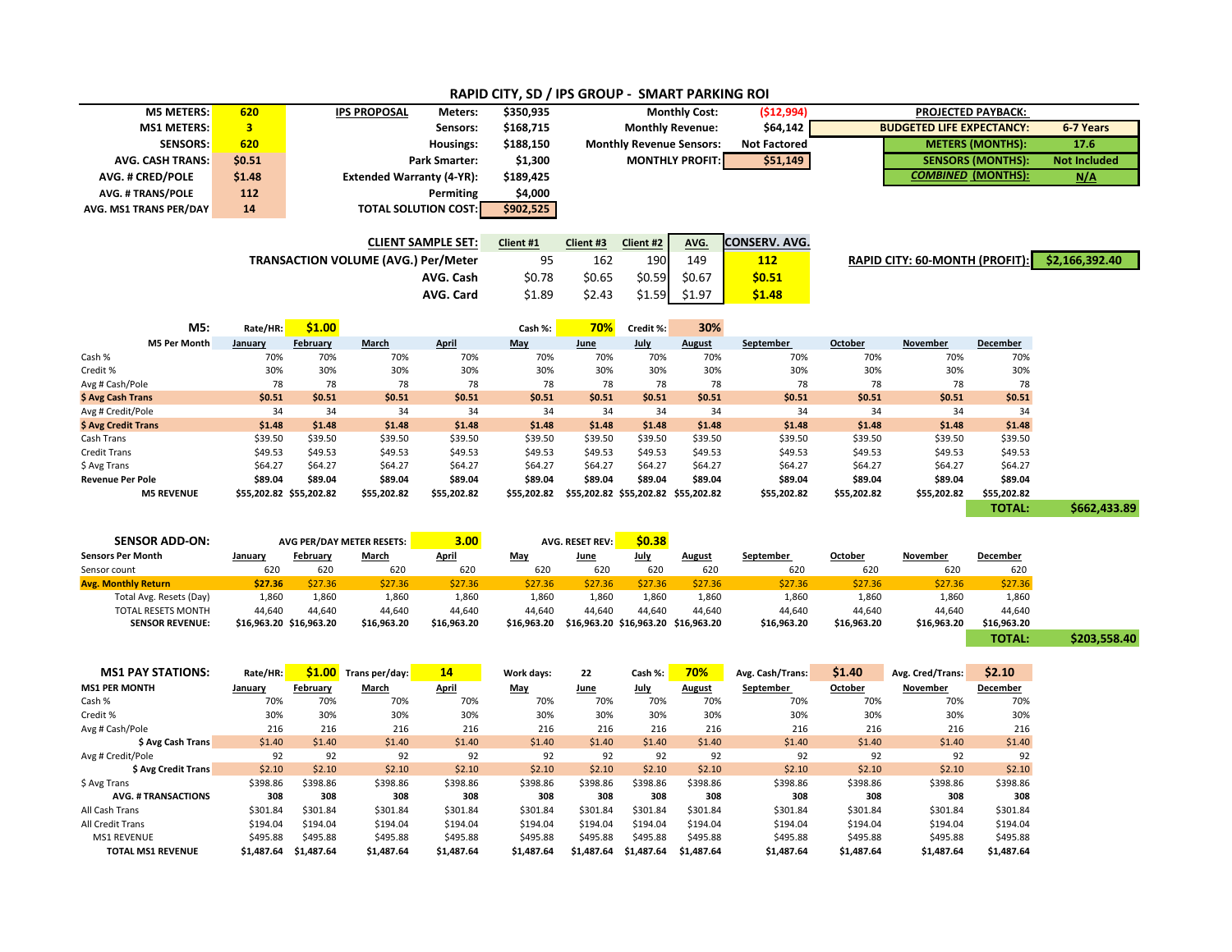| <b>M5 METERS:</b>                          |                           | 620                     | <b>IPS PROPOSAL</b><br>Meters:   |                                            | \$350,935                 | <b>Monthly Cost:</b>            |                                     |                        | (\$12,994)          |                                  |                                      |                           |                     |              |
|--------------------------------------------|---------------------------|-------------------------|----------------------------------|--------------------------------------------|---------------------------|---------------------------------|-------------------------------------|------------------------|---------------------|----------------------------------|--------------------------------------|---------------------------|---------------------|--------------|
| <b>MS1 METERS:</b>                         |                           | $\overline{\mathbf{3}}$ | Sensors:                         |                                            | \$168,715                 | <b>Monthly Revenue:</b>         |                                     |                        | \$64,142            | <b>BUDGETED LIFE EXPECTANCY:</b> |                                      |                           | 6-7 Years           |              |
| <b>SENSORS:</b>                            |                           | 620                     | Housings:                        |                                            | \$188,150                 | <b>Monthly Revenue Sensors:</b> |                                     |                        | <b>Not Factored</b> | <b>METERS (MONTHS):</b>          |                                      |                           | 17.6                |              |
| <b>AVG. CASH TRANS:</b>                    |                           | \$0.51                  | <b>Park Smarter:</b>             |                                            | \$1,300                   |                                 |                                     | <b>MONTHLY PROFIT:</b> | \$51,149            |                                  |                                      | <b>SENSORS (MONTHS):</b>  | <b>Not Included</b> |              |
| <b>AVG. # CRED/POLE</b>                    |                           | \$1.48                  | <b>Extended Warranty (4-YR):</b> |                                            | \$189,425                 |                                 |                                     |                        |                     |                                  |                                      | <b>COMBINED (MONTHS):</b> | N/A                 |              |
| <b>AVG. # TRANS/POLE</b>                   |                           | 112                     | Permiting                        |                                            |                           | \$4,000                         |                                     |                        |                     |                                  |                                      |                           |                     |              |
| AVG. MS1 TRANS PER/DAY                     |                           | 14                      | <b>TOTAL SOLUTION COST:</b>      |                                            |                           | \$902,525                       |                                     |                        |                     |                                  |                                      |                           |                     |              |
|                                            |                           |                         |                                  |                                            |                           |                                 |                                     |                        |                     |                                  |                                      |                           |                     |              |
|                                            |                           |                         |                                  |                                            | <b>CLIENT SAMPLE SET:</b> | Client #1                       | Client #3                           | Client #2              | AVG.                | <b>CONSERV. AVG.</b>             |                                      |                           |                     |              |
|                                            |                           |                         |                                  | <b>TRANSACTION VOLUME (AVG.) Per/Meter</b> | 95                        |                                 | 190<br>149<br>162<br><b>112</b>     |                        |                     |                                  | <b>RAPID CITY: 60-MONTH (PROFIT)</b> | \$2,166,392.40            |                     |              |
|                                            |                           |                         |                                  |                                            |                           |                                 |                                     |                        |                     |                                  |                                      |                           |                     |              |
|                                            |                           |                         |                                  |                                            | AVG. Cash                 | \$0.78                          | \$0.65                              | \$0.59                 | \$0.67              | \$0.51                           |                                      |                           |                     |              |
|                                            |                           |                         |                                  |                                            | AVG. Card                 | \$1.89                          | \$2.43                              | \$1.59                 | \$1.97              | \$1.48                           |                                      |                           |                     |              |
|                                            |                           |                         |                                  |                                            |                           |                                 |                                     |                        |                     |                                  |                                      |                           |                     |              |
|                                            | M5:                       | Rate/HR:                | \$1.00                           |                                            |                           | Cash %:                         | 70%                                 | Credit %:              | 30%                 |                                  |                                      |                           |                     |              |
|                                            | <b>M5 Per Month</b>       | January                 | February                         | March                                      | April                     | May                             | June                                | July                   | August              | September                        | October                              | November                  | December            |              |
| Cash %<br>Credit %                         |                           | 70%<br>30%              | 70%<br>30%                       | 70%<br>30%                                 | 70%<br>30%                | 70%<br>30%                      | 70%<br>30%                          | 70%<br>30%             | 70%<br>30%          | 70%<br>30%                       | 70%<br>30%                           | 70%<br>30%                | 70%<br>30%          |              |
| Avg # Cash/Pole                            |                           | 78                      | 78                               | 78                                         | 78                        | 78                              | 78                                  | 78                     | 78                  | 78                               | 78                                   | 78                        | 78                  |              |
| \$ Avg Cash Trans                          |                           | \$0.51                  | \$0.51                           | \$0.51                                     | \$0.51                    | \$0.51                          | \$0.51                              | \$0.51                 | \$0.51              | \$0.51                           | \$0.51                               | \$0.51                    | \$0.51              |              |
| Avg # Credit/Pole                          |                           | 34                      | 34                               | 34                                         | 34                        | 34                              | 34                                  | 34                     | 34                  | 34                               | 34                                   | 34                        | 34                  |              |
| \$ Avg Credit Trans                        |                           | \$1.48                  | \$1.48                           | \$1.48                                     | \$1.48                    | \$1.48                          | \$1.48                              | \$1.48                 | \$1.48              | \$1.48                           | \$1.48                               | \$1.48                    | \$1.48              |              |
| Cash Trans                                 |                           | \$39.50                 | \$39.50                          | \$39.50                                    | \$39.50                   | \$39.50                         | \$39.50                             | \$39.50                | \$39.50             | \$39.50                          | \$39.50                              | \$39.50                   | \$39.50             |              |
| <b>Credit Trans</b>                        |                           | \$49.53                 | \$49.53                          | \$49.53                                    | \$49.53                   | \$49.53                         | \$49.53                             | \$49.53                | \$49.53             | \$49.53                          | \$49.53                              | \$49.53                   | \$49.53             |              |
| \$ Avg Trans                               |                           | \$64.27                 | \$64.27                          | \$64.27                                    | \$64.27                   | \$64.27                         | \$64.27                             | \$64.27                | \$64.27             | \$64.27                          | \$64.27                              | \$64.27                   | \$64.27             |              |
| <b>Revenue Per Pole</b>                    |                           | \$89.04                 | \$89.04                          | \$89.04                                    | \$89.04                   | \$89.04                         | \$89.04                             | \$89.04                | \$89.04             | \$89.04                          | \$89.04                              | \$89.04                   | \$89.04             |              |
|                                            | <b>M5 REVENUE</b>         | \$55,202.82 \$55,202.82 |                                  | \$55,202.82                                | \$55,202.82               | \$55,202.82                     | \$55,202.82 \$55,202.82 \$55,202.82 |                        |                     | \$55,202.82                      | \$55,202.82                          | \$55,202.82               | \$55,202.82         |              |
|                                            |                           |                         |                                  |                                            |                           |                                 |                                     |                        |                     |                                  |                                      |                           | <b>TOTAL:</b>       | \$662,433.89 |
|                                            |                           |                         |                                  |                                            |                           |                                 |                                     |                        |                     |                                  |                                      |                           |                     |              |
| <b>SENSOR ADD-ON:</b>                      |                           |                         |                                  | AVG PER/DAY METER RESETS:                  | 3.00                      |                                 | <b>AVG. RESET REV:</b>              | \$0.38                 |                     |                                  |                                      |                           |                     |              |
| <b>Sensors Per Month</b>                   |                           | January                 | February                         | March                                      | <b>April</b>              | May                             | June                                | <b>July</b>            | <b>August</b>       | September                        | October                              | November                  | December            |              |
| Sensor count<br><b>Avg. Monthly Return</b> |                           | 620<br>\$27.36          | 620<br>\$27.36                   | 620<br>\$27.36                             | 620<br>\$27.36            | 620<br>\$27.36                  | 620<br>\$27.36                      | 620<br>\$27.36         | 620<br>\$27.36      | 620<br>\$27.36                   | 620<br>\$27.36                       | 620<br>\$27.36            | 620<br>\$27.36      |              |
|                                            | Total Avg. Resets (Day)   | 1,860                   | 1,860                            | 1,860                                      | 1,860                     | 1,860                           | 1,860                               | 1,860                  | 1,860               | 1,860                            | 1,860                                | 1,860                     | 1,860               |              |
|                                            | <b>TOTAL RESETS MONTH</b> | 44,640                  | 44,640                           | 44,640                                     | 44,640                    | 44,640                          | 44.640                              | 44.640                 | 44,640              | 44,640                           | 44,640                               | 44,640                    | 44,640              |              |
|                                            | <b>SENSOR REVENUE:</b>    | \$16,963.20 \$16,963.20 |                                  | \$16,963.20                                | \$16,963.20               | \$16,963.20                     | \$16,963.20 \$16,963.20 \$16,963.20 |                        |                     | \$16,963.20                      | \$16,963.20                          | \$16,963.20               | \$16,963.20         |              |
|                                            |                           |                         |                                  |                                            |                           |                                 |                                     |                        |                     |                                  |                                      |                           | <b>TOTAL:</b>       | \$203,558.40 |
|                                            |                           |                         |                                  |                                            |                           |                                 |                                     |                        |                     |                                  |                                      |                           |                     |              |
|                                            | <b>MS1 PAY STATIONS:</b>  | Rate/HR:                | \$1.00                           | Trans per/day:                             | 14                        | Work days:                      | 22                                  | Cash %:                | 70%                 | Avg. Cash/Trans:                 | \$1.40                               | Avg. Cred/Trans:          | \$2.10              |              |
| <b>MS1 PER MONTH</b>                       |                           | January                 | February                         | <b>March</b>                               | <b>April</b>              | <b>May</b>                      | June                                | <u>July</u>            | <b>August</b>       | <b>September</b>                 | <u>October</u>                       | <b>November</b>           | <b>December</b>     |              |
| Cash %                                     |                           | 70%                     | 70%                              | 70%                                        | 70%                       | 70%                             | 70%                                 | 70%                    | 70%                 | 70%                              | 70%                                  | 70%                       | 70%                 |              |
| Credit %                                   |                           | 30%                     | 30%                              | 30%                                        | 30%                       | 30%                             | 30%                                 | 30%                    | 30%                 | 30%                              | 30%                                  | 30%                       | 30%                 |              |
| Avg # Cash/Pole                            |                           | 216                     | 216                              | 216                                        | 216                       | 216                             | 216                                 | 216                    | 216                 | 216                              | 216                                  | 216                       | 216                 |              |
| \$ Avg Cash Trans                          |                           | \$1.40                  | \$1.40                           | \$1.40                                     | \$1.40                    | \$1.40                          | \$1.40                              | \$1.40                 | \$1.40              | \$1.40                           | \$1.40                               | \$1.40                    | \$1.40              |              |

Avg # Credit/Pole 92 92 92 92 92 92 92 92 92 92 92 92 **\$ Avg Credit Trans** \$2.10 \$2.10 \$2.10 \$2.10 \$2.10 \$2.10 \$2.10 \$2.10 \$2.10 \$2.10 \$2.10 \$2.10 \$ Avg Trans \$398.86 \$398.86 \$398.86 \$398.86 \$398.86 \$398.86 \$398.86 \$398.86 \$398.86 \$398.86 \$398.86 \$398.86 \$398.86 \$398.86 \$39 **AVG. # TRANSACTIONS 308 308 308 308 308 308 308 308 308 308 308 308** All Cash Trans \$301.84 \$301.84 \$301.84 \$301.84 \$301.84 \$301.84 \$301.84 \$301.84 \$301.84 \$301.84 \$301.84 \$301.84 194.04 \$194.04 \$194.04 \$194.04 \$194.04 \$194.04 \$194.04 \$194.04 \$194.04 \$194.04 \$194.04 \$194.04 \$194.04 \$194.04 MS1 REVENUE \$495.88 \$495.88 \$495.88 \$495.88 \$495.88 \$495.88 \$495.88 \$495.88 \$495.88 \$495.88 \$495.88 \$495.88 TOTAL MS1 REVENUE \$1,487.64 \$1,487.64 \$1,487.64 \$1,487.64 \$1,487.64 \$1,487.64 \$1,487.64 \$1,487.64 \$1,487.64 \$1,487.64 \$1,487.64 \$1,487.64 \$1,487.64 \$1,487.64 \$1,487.64 \$1,487.64 \$1,487.64 \$1,487.64 \$1,487.64 \$1,487.64 \$1,4

## **RAPID CITY, SD / IPS GROUP - SMART PARKING ROI**